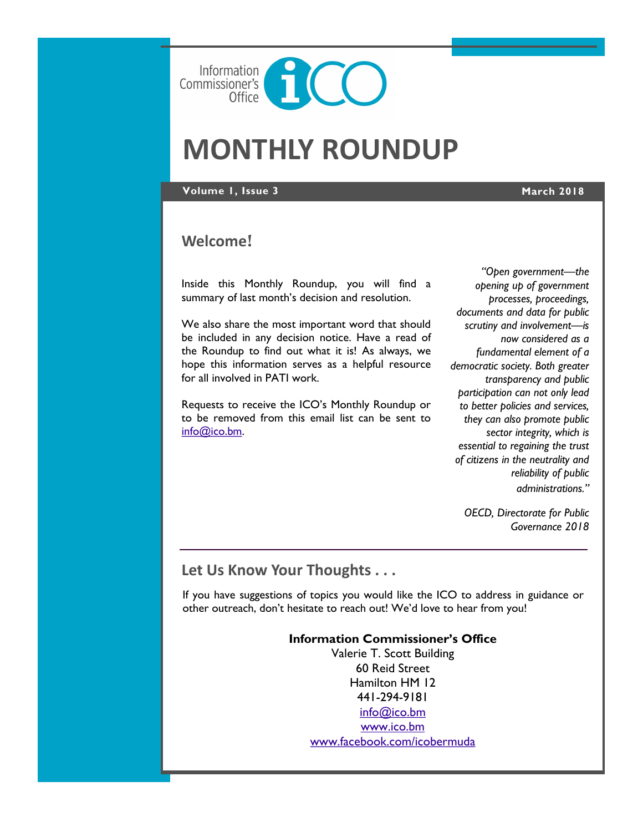

# **MONTHLY ROUNDUP**

#### **Volume 1, Issue 3 March 2018**

## **Welcome**!

Inside this Monthly Roundup, you will find a summary of last month's decision and resolution.

We also share the most important word that should be included in any decision notice. Have a read of the Roundup to find out what it is! As always, we hope this information serves as a helpful resource for all involved in PATI work.

Requests to receive the ICO's Monthly Roundup or to be removed from this email list can be sent to [info@ico.bm.](mailto:info@ico.bm)

*"Open government—the opening up of government processes, proceedings, documents and data for public scrutiny and involvement—is now considered as a fundamental element of a democratic society. Both greater transparency and public participation can not only lead to better policies and services, they can also promote public sector integrity, which is essential to regaining the trust of citizens in the neutrality and reliability of public administrations."*

*OECD, Directorate for Public Governance 2018*

# **Let Us Know Your Thoughts . . .**

If you have suggestions of topics you would like the ICO to address in guidance or other outreach, don't hesitate to reach out! We'd love to hear from you!

### **Information Commissioner's Office**

Valerie T. Scott Building 60 Reid Street Hamilton HM 12 441-294-9181 [info@ico.bm](mailto:info@ico.bm) [www.ico.bm](http://www.ico.bm) [www.facebook.com/icobermuda](http://www.facebook.com/icobermuda/ICOFS01S/Folder-Redirection$/gsgutierrez/Documents/Admin)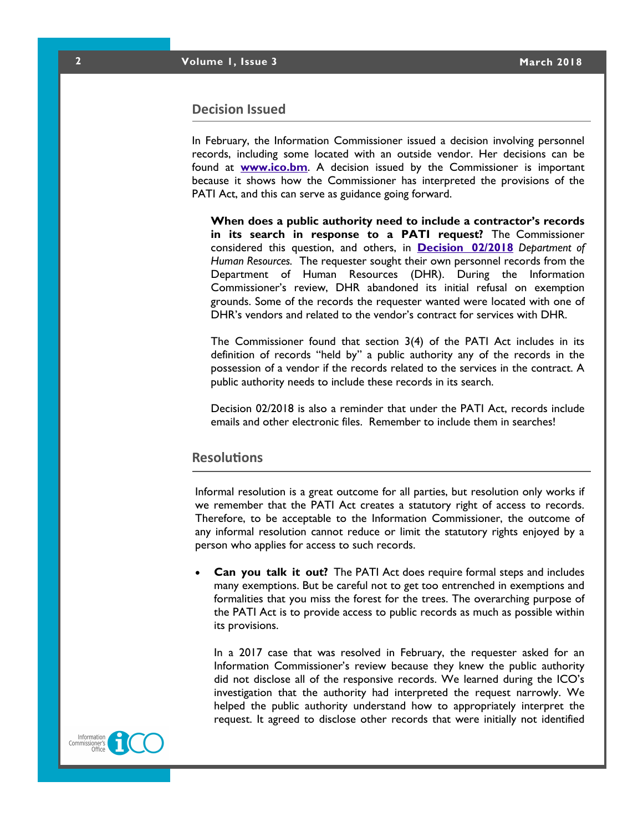#### **Decision Issued**

In February, the Information Commissioner issued a decision involving personnel records, including some located with an outside vendor. Her decisions can be found at **[www.ico.bm](http://www.ico.bm)**. A decision issued by the Commissioner is important because it shows how the Commissioner has interpreted the provisions of the PATI Act, and this can serve as guidance going forward.

**When does a public authority need to include a contractor's records in its search in response to a PATI request?** The Commissioner considered this question, and others, in **[Decision 02/2018](https://docs.wixstatic.com/ugd/5803dc_d3f41451675a428c87912796724c3d6d.pdf)** *Department of Human Resources.* The requester sought their own personnel records from the Department of Human Resources (DHR). During the Information Commissioner's review, DHR abandoned its initial refusal on exemption grounds. Some of the records the requester wanted were located with one of DHR's vendors and related to the vendor's contract for services with DHR.

The Commissioner found that section 3(4) of the PATI Act includes in its definition of records "held by" a public authority any of the records in the possession of a vendor if the records related to the services in the contract. A public authority needs to include these records in its search.

Decision 02/2018 is also a reminder that under the PATI Act, records include emails and other electronic files. Remember to include them in searches!

#### **Resolutions**

Informal resolution is a great outcome for all parties, but resolution only works if we remember that the PATI Act creates a statutory right of access to records. Therefore, to be acceptable to the Information Commissioner, the outcome of any informal resolution cannot reduce or limit the statutory rights enjoyed by a person who applies for access to such records.

 **Can you talk it out?** The PATI Act does require formal steps and includes many exemptions. But be careful not to get too entrenched in exemptions and formalities that you miss the forest for the trees. The overarching purpose of the PATI Act is to provide access to public records as much as possible within its provisions.

In a 2017 case that was resolved in February, the requester asked for an Information Commissioner's review because they knew the public authority did not disclose all of the responsive records. We learned during the ICO's investigation that the authority had interpreted the request narrowly. We helped the public authority understand how to appropriately interpret the request. It agreed to disclose other records that were initially not identified